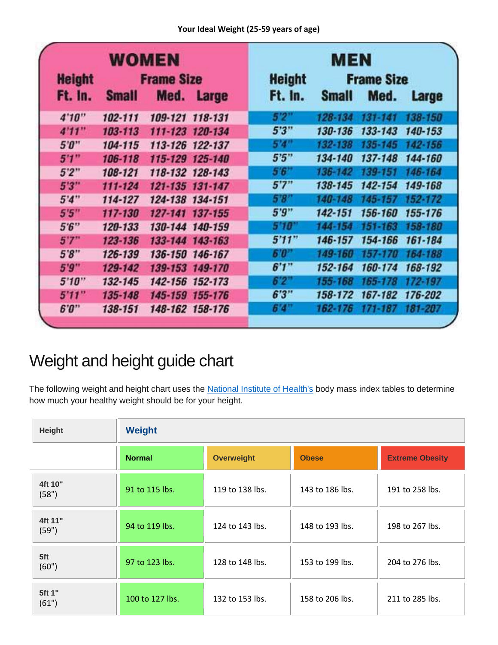| WOMEN<br><b>Height</b><br><b>Frame Size</b> |              |                 | <b>MEN</b><br><b>Height</b><br><b>Frame Size</b> |         |              |             |             |
|---------------------------------------------|--------------|-----------------|--------------------------------------------------|---------|--------------|-------------|-------------|
| Ft. In.                                     | <b>Small</b> | Med.            | <b>Large</b>                                     | Ft. In. | <b>Small</b> | Med.        | Large       |
| 4'10''                                      | 102-111      | 109-121 118-131 |                                                  | 5'2''   | 128-134      | $131 - 141$ | 138-150     |
| 4'11''                                      | 103-113      | 111-123 120-134 |                                                  | 5'3''   | 130-136      | 133-143     | 140-153     |
| 5'0''                                       | 104-115      | 113-126 122-137 |                                                  | 5'4''   | 132-138      | 135-145     | 142-156     |
| 5'1''                                       | 106-118      | 115-129 125-140 |                                                  | 5'5''   | 134-140      | 137-148     | 144-160     |
| 5'2''                                       | 108-121      | 118-132 128-143 |                                                  | 5'6''   | 136-142      | 139-151     | 146-164     |
| 5'3''                                       | $111 - 124$  | 121-135 131-147 |                                                  | 5'7''   | 138-145      | 142-154     | 149-168     |
| 5'4''                                       | 114-127      | 124-138 134-151 |                                                  | 5.8     | 140-148      | 145-157     | $152 - 172$ |
| 5'5''                                       | 117-130      | 127-141 137-155 |                                                  | 5'9''   | 142-151      | 156-160     | 155-176     |
| 5.6"                                        | 120-133      | 130-144 140-159 |                                                  | 5'10''  | 144-154      | 151-163     | 158-180     |
| 5'7''                                       | 123-136      | 133-144 143-163 |                                                  | 5'11''  | 146-157      | 154-166     | 161-184     |
| 5'8''                                       | 126-139      | 136-150 146-167 |                                                  | 6'0"    | 149-160      | $157 - 170$ | 154-188     |
| 5'9''                                       | 129-142      | 139-153 149-170 |                                                  | 6'1''   | 152-164      | 160-174     | 168-192     |
| 5'10''                                      | 132-145      | 142-156 152-173 |                                                  | 6'2''   | 155-168      | 165-178     | 172-197     |
| 5'11''                                      | 135-148      | 145-159 155-176 |                                                  | 6'3''   | 158-172      | 167-182     | 176-202     |
| 6"0"                                        | 138-151      | 148-162 158-176 |                                                  | 6'4''   | 162-176      | $171 - 187$ | 181-207     |

## Weight and height guide chart

The following weight and height chart uses the [National Institute of Health's](http://www.nhlbi.nih.gov/health/educational/lose_wt/BMI/bmi_tbl.pdf) body mass index tables to determine how much your healthy weight should be for your height.

| Height           | <b>Weight</b>   |                   |                 |                        |  |  |  |  |
|------------------|-----------------|-------------------|-----------------|------------------------|--|--|--|--|
|                  | <b>Normal</b>   | <b>Overweight</b> | <b>Obese</b>    | <b>Extreme Obesity</b> |  |  |  |  |
| 4ft 10"<br>(58") | 91 to 115 lbs.  | 119 to 138 lbs.   | 143 to 186 lbs. | 191 to 258 lbs.        |  |  |  |  |
| 4ft 11"<br>(59") | 94 to 119 lbs.  | 124 to 143 lbs.   | 148 to 193 lbs. | 198 to 267 lbs.        |  |  |  |  |
| 5ft<br>(60")     | 97 to 123 lbs.  | 128 to 148 lbs.   | 153 to 199 lbs. | 204 to 276 lbs.        |  |  |  |  |
| 5ft 1"<br>(61")  | 100 to 127 lbs. | 132 to 153 lbs.   | 158 to 206 lbs. | 211 to 285 lbs.        |  |  |  |  |